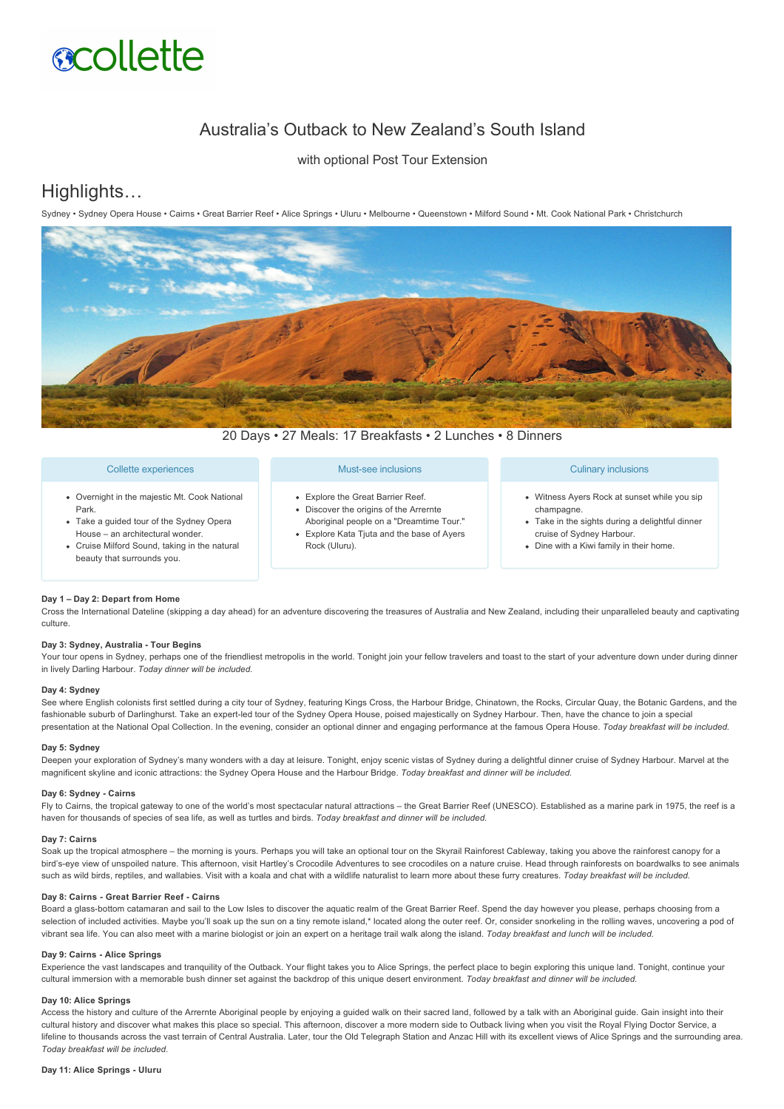# **acollette**

# Australia's Outback to New Zealand's South Island

with optional Post Tour Extension

# Highlights…

Sydney • Sydney Opera House • Cairns • Great Barrier Reef • Alice Springs • Uluru • Melbourne • Queenstown • Milford Sound • Mt. Cook National Park • Christchurch



20 Days • 27 Meals: 17 Breakfasts • 2 Lunches • 8 Dinners

# Collette experiences

- Overnight in the majestic Mt. Cook National Park.
- Take a guided tour of the Sydney Opera House – an architectural wonder.
- Cruise Milford Sound, taking in the natural beauty that surrounds you.

# Must-see inclusions

- Explore the Great Barrier Reef.
- Discover the origins of the Arrernte Aboriginal people on a "Dreamtime Tour." Explore Kata Tjuta and the base of Ayers
- Rock (Uluru).

# Culinary inclusions

- Witness Ayers Rock at sunset while you sip champagne.
- Take in the sights during a delightful dinner cruise of Sydney Harbour.
- Dine with a Kiwi family in their home.

# **Day 1 – Day 2: Depart from Home**

Cross the International Dateline (skipping a day ahead) for an adventure discovering the treasures of Australia and New Zealand, including their unparalleled beauty and captivating culture.

# **Day 3: Sydney, Australia Tour Begins**

Your tour opens in Sydney, perhaps one of the friendliest metropolis in the world. Tonight join your fellow travelers and toast to the start of your adventure down under during dinner in lively Darling Harbour. *Today dinner will be included.*

#### **Day 4: Sydney**

See where English colonists first settled during a city tour of Sydney, featuring Kings Cross, the Harbour Bridge, Chinatown, the Rocks, Circular Quay, the Botanic Gardens, and the fashionable suburb of Darlinghurst. Take an expert-led tour of the Sydney Opera House, poised majestically on Sydney Harbour. Then, have the chance to join a special presentation at the National Opal Collection. In the evening, consider an optional dinner and engaging performance at the famous Opera House. *Today breakfast will be included.*

# **Day 5: Sydney**

Deepen your exploration of Sydney's many wonders with a day at leisure. Tonight, enjoy scenic vistas of Sydney during a delightful dinner cruise of Sydney Harbour. Marvel at the magnificent skyline and iconic attractions: the Sydney Opera House and the Harbour Bridge. *Today breakfast and dinner will be included.*

# Day 6: Sydney - Cairns

Fly to Cairns, the tropical gateway to one of the world's most spectacular natural attractions – the Great Barrier Reef (UNESCO). Established as a marine park in 1975, the reef is a haven for thousands of species of sea life, as well as turtles and birds. *Today breakfast and dinner will be included.*

# **Day 7: Cairns**

Soak up the tropical atmosphere – the morning is yours. Perhaps you will take an optional tour on the Skyrail Rainforest Cableway, taking you above the rainforest canopy for a bird's-eye view of unspoiled nature. This afternoon, visit Hartley's Crocodile Adventures to see crocodiles on a nature cruise. Head through rainforests on boardwalks to see animals such as wild birds, reptiles, and wallabies. Visit with a koala and chat with a wildlife naturalist to learn more about these furry creatures. *Today breakfast will be included.*

# **Day 8: Cairns Great Barrier Reef Cairns**

Board a glass-bottom catamaran and sail to the Low Isles to discover the aquatic realm of the Great Barrier Reef. Spend the day however you please, perhaps choosing from a selection of included activities. Maybe you'll soak up the sun on a tiny remote island,\* located along the outer reef. Or, consider snorkeling in the rolling waves, uncovering a pod of vibrant sea life. You can also meet with a marine biologist or join an expert on a heritage trail walk along the island. *Today breakfast and lunch will be included.*

# Day 9: Cairns - Alice Springs

Experience the vast landscapes and tranquility of the Outback. Your flight takes you to Alice Springs, the perfect place to begin exploring this unique land. Tonight, continue your cultural immersion with a memorable bush dinner set against the backdrop of this unique desert environment. *Today breakfast and dinner will be included.*

# **Day 10: Alice Springs**

Access the history and culture of the Arrernte Aboriginal people by enjoying a guided walk on their sacred land, followed by a talk with an Aboriginal guide. Gain insight into their cultural history and discover what makes this place so special. This afternoon, discover a more modern side to Outback living when you visit the Royal Flying Doctor Service, a lifeline to thousands across the vast terrain of Central Australia. Later, tour the Old Telegraph Station and Anzac Hill with its excellent views of Alice Springs and the surrounding area. *Today breakfast will be included.*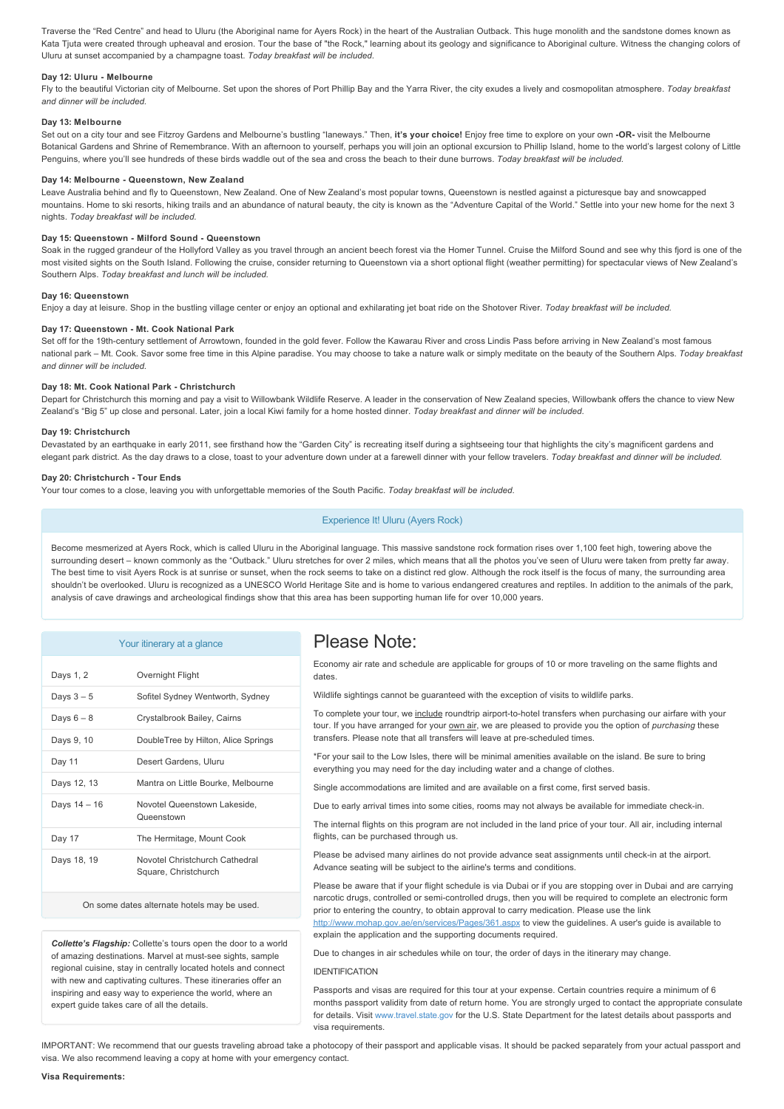Traverse the "Red Centre" and head to Uluru (the Aboriginal name for Ayers Rock) in the heart of the Australian Outback. This huge monolith and the sandstone domes known as Kata Tjuta were created through upheaval and erosion. Tour the base of "the Rock," learning about its geology and significance to Aboriginal culture. Witness the changing colors of Uluru at sunset accompanied by a champagne toast. *Today breakfast will be included.*

### Day 12: Uluru - Melbourne

Fly to the beautiful Victorian city of Melbourne. Set upon the shores of Port Phillip Bay and the Yarra River, the city exudes a lively and cosmopolitan atmosphere. *Today breakfast and dinner will be included.*

# **Day 13: Melbourne**

Set out on a city tour and see Fitzroy Gardens and Melbourne's bustling "laneways." Then, **it's your choice!** Enjoy free time to explore on your own **OR** visit the Melbourne Botanical Gardens and Shrine of Remembrance. With an afternoon to yourself, perhaps you will join an optional excursion to Phillip Island, home to the world's largest colony of Little Penguins, where you'll see hundreds of these birds waddle out of the sea and cross the beach to their dune burrows. *Today breakfast will be included.*

# Day 14: Melbourne - Queenstown, New Zealand

Leave Australia behind and fly to Queenstown, New Zealand. One of New Zealand's most popular towns, Queenstown is nestled against a picturesque bay and snowcapped mountains. Home to ski resorts, hiking trails and an abundance of natural beauty, the city is known as the "Adventure Capital of the World." Settle into your new home for the next 3 nights. *Today breakfast will be included.*

### **Day 15: Queenstown - Milford Sound - Queenstown**

Soak in the rugged grandeur of the Hollyford Valley as you travel through an ancient beech forest via the Homer Tunnel. Cruise the Milford Sound and see why this fjord is one of the most visited sights on the South Island. Following the cruise, consider returning to Queenstown via a short optional flight (weather permitting) for spectacular views of New Zealand's Southern Alps. *Today breakfast and lunch will be included.*

# **Day 16: Queenstown**

Enjoy a day at leisure. Shop in the bustling village center or enjoy an optional and exhilarating jet boat ride on the Shotover River. *Today breakfast will be included.*

# **Day 17: Queenstown - Mt. Cook National Park**

Set off for the 19th-century settlement of Arrowtown, founded in the gold fever. Follow the Kawarau River and cross Lindis Pass before arriving in New Zealand's most famous national park – Mt. Cook. Savor some free time in this Alpine paradise. You may choose to take a nature walk or simply meditate on the beauty of the Southern Alps. *Today breakfast and dinner will be included.*

#### **Day 18: Mt. Cook National Park Christchurch**

Depart for Christchurch this morning and pay a visit to Willowbank Wildlife Reserve. A leader in the conservation of New Zealand species, Willowbank offers the chance to view New Zealand's "Big 5" up close and personal. Later, join a local Kiwi family for a home hosted dinner. *Today breakfast and dinner will be included.*

#### **Day 19: Christchurch**

Devastated by an earthquake in early 2011, see firsthand how the "Garden City" is recreating itself during a sightseeing tour that highlights the city's magnificent gardens and elegant park district. As the day draws to a close, toast to your adventure down under at a farewell dinner with your fellow travelers. *Today breakfast and dinner will be included.*

### **Day 20: Christchurch Tour Ends**

Your tour comes to a close, leaving you with unforgettable memories of the South Pacific. *Today breakfast will be included.*

# Experience It! Uluru (Ayers Rock)

Become mesmerized at Ayers Rock, which is called Uluru in the Aboriginal language. This massive sandstone rock formation rises over 1,100 feet high, towering above the surrounding desert - known commonly as the "Outback." Uluru stretches for over 2 miles, which means that all the photos you've seen of Uluru were taken from pretty far away. The best time to visit Ayers Rock is at sunrise or sunset, when the rock seems to take on a distinct red glow. Although the rock itself is the focus of many, the surrounding area shouldn't be overlooked. Uluru is recognized as a UNESCO World Heritage Site and is home to various endangered creatures and reptiles. In addition to the animals of the park, analysis of cave drawings and archeological findings show that this area has been supporting human life for over 10,000 years.

|              | Your itinerary at a glance                             |
|--------------|--------------------------------------------------------|
| Days 1, 2    | Overnight Flight                                       |
| Days $3-5$   | Sofitel Sydney Wentworth, Sydney                       |
| Days $6-8$   | Crystalbrook Bailey, Cairns                            |
| Days 9, 10   | DoubleTree by Hilton, Alice Springs                    |
| Day 11       | Desert Gardens, Uluru                                  |
| Days 12, 13  | Mantra on Little Bourke, Melbourne                     |
| Days 14 - 16 | Novotel Queenstown Lakeside,<br>Queenstown             |
| Day 17       | The Hermitage, Mount Cook                              |
| Days 18, 19  | Novotel Christchurch Cathedral<br>Square, Christchurch |
|              |                                                        |

# On some dates alternate hotels may be used.

*Collette's Flagship:* Collette's tours open the door to a world of amazing destinations. Marvel at must-see sights, sample regional cuisine, stay in centrally located hotels and connect with new and captivating cultures. These itineraries offer an inspiring and easy way to experience the world, where an expert guide takes care of all the details.

# Please Note:

Economy air rate and schedule are applicable for groups of 10 or more traveling on the same flights and dates.

Wildlife sightings cannot be guaranteed with the exception of visits to wildlife parks.

To complete your tour, we include roundtrip airport-to-hotel transfers when purchasing our airfare with your tour. If you have arranged for your **own air**, we are pleased to provide you the option of *purchasing* these transfers. Please note that all transfers will leave at pre-scheduled times.

\*For your sail to the Low Isles, there will be minimal amenities available on the island. Be sure to bring everything you may need for the day including water and a change of clothes.

Single accommodations are limited and are available on a first come, first served basis.

Due to early arrival times into some cities, rooms may not always be available for immediate check-in.

The internal flights on this program are not included in the land price of your tour. All air, including internal flights, can be purchased through us.

Please be advised many airlines do not provide advance seat assignments until check-in at the airport. Advance seating will be subject to the airline's terms and conditions.

Please be aware that if your flight schedule is via Dubai or if you are stopping over in Dubai and are carrying narcotic drugs, controlled or semi-controlled drugs, then you will be required to complete an electronic form prior to entering the country, to obtain approval to carry medication. Please use the link <http://www.mohap.gov.ae/en/services/Pages/361.aspx>to view the guidelines. A user's guide is available to explain the application and the supporting documents required.

Due to changes in air schedules while on tour, the order of days in the itinerary may change.

# IDENTIFICATION

Passports and visas are required for this tour at your expense. Certain countries require a minimum of 6 months passport validity from date of return home. You are strongly urged to contact the appropriate consulate for details. Visit [www.travel.state.gov](https://itinerary.collette.com/Documents/Flyer/13896/USD/www.travel.state.gov) for the U.S. State Department for the latest details about passports and visa requirements.

IMPORTANT: We recommend that our guests traveling abroad take a photocopy of their passport and applicable visas. It should be packed separately from your actual passport and visa. We also recommend leaving a copy at home with your emergency contact.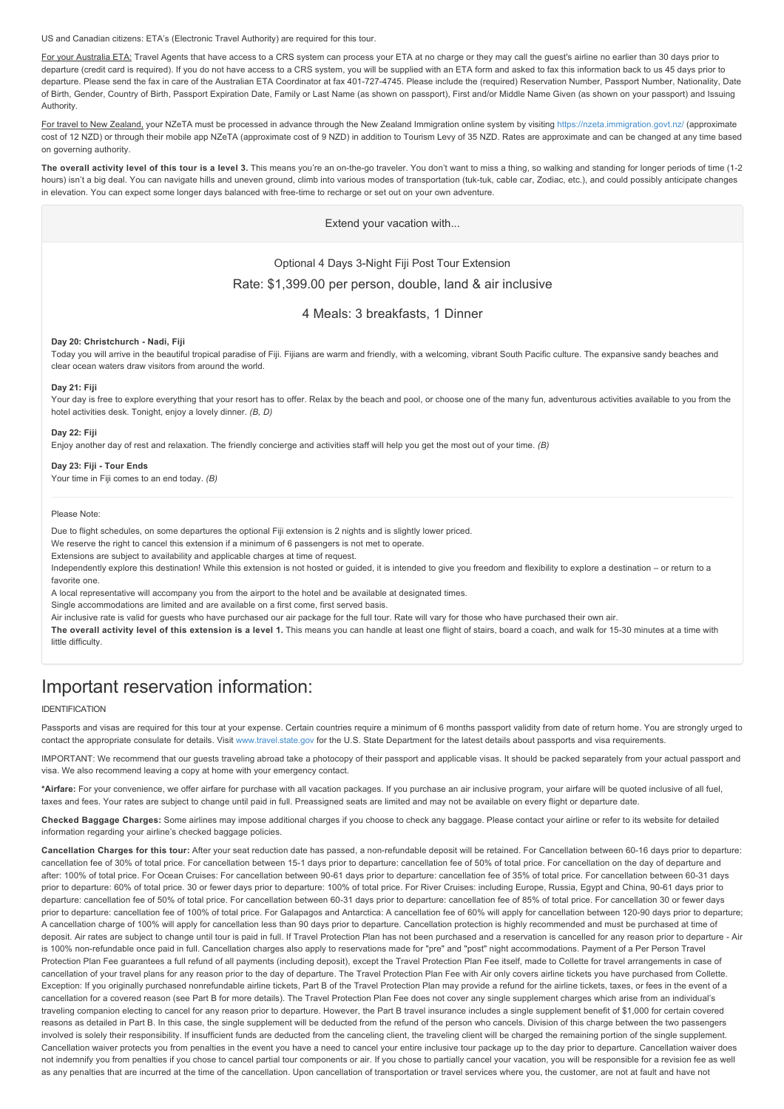US and Canadian citizens: ETA's (Electronic Travel Authority) are required for this tour.

For your Australia ETA: Travel Agents that have access to a CRS system can process your ETA at no charge or they may call the guest's airline no earlier than 30 days prior to departure (credit card is required). If you do not have access to a CRS system, you will be supplied with an ETA form and asked to fax this information back to us 45 days prior to departure. Please send the fax in care of the Australian ETA Coordinator at fax 401-727-4745. Please include the (required) Reservation Number, Passport Number, Nationality, Date of Birth, Gender, Country of Birth, Passport Expiration Date, Family or Last Name (as shown on passport), First and/or Middle Name Given (as shown on your passport) and Issuing Authority.

For travel to New Zealand, your NZeTA must be processed in advance through the New Zealand Immigration online system by visiting <https://nzeta.immigration.govt.nz/> (approximate cost of 12 NZD) or through their mobile app NZeTA (approximate cost of 9 NZD) in addition to Tourism Levy of 35 NZD. Rates are approximate and can be changed at any time based on governing authority.

The overall activity level of this tour is a level 3. This means you're an on-the-go traveler. You don't want to miss a thing, so walking and standing for longer periods of time (1-2 hours) isn't a big deal. You can navigate hills and uneven ground, climb into various modes of transportation (tuk-tuk, cable car, Zodiac, etc.), and could possibly anticipate changes in elevation. You can expect some longer days balanced with free-time to recharge or set out on your own adventure.

Extend your vacation with...

Optional 4 Days 3-Night Fiji Post Tour Extension

Rate: \$1,399.00 per person, double, land & air inclusive

4 Meals: 3 breakfasts, 1 Dinner

#### **Day 20: Christchurch Nadi, Fiji**

Today you will arrive in the beautiful tropical paradise of Fiji. Fijians are warm and friendly, with a welcoming, vibrant South Pacific culture. The expansive sandy beaches and clear ocean waters draw visitors from around the world.

# **Day 21: Fiji**

Your day is free to explore everything that your resort has to offer. Relax by the beach and pool, or choose one of the many fun, adventurous activities available to you from the hotel activities desk. Tonight, enjoy a lovely dinner. *(B, D)*

#### **Day 22: Fiji**

Enjoy another day of rest and relaxation. The friendly concierge and activities staff will help you get the most out of your time. *(B)*

# Day 23: Fiji - Tour Ends

Your time in Fiji comes to an end today. *(B)*

# Please Note:

Due to flight schedules, on some departures the optional Fiji extension is 2 nights and is slightly lower priced.

We reserve the right to cancel this extension if a minimum of 6 passengers is not met to operate.

Extensions are subject to availability and applicable charges at time of request.

Independently explore this destination! While this extension is not hosted or guided, it is intended to give you freedom and flexibility to explore a destination – or return to a favorite one.

A local representative will accompany you from the airport to the hotel and be available at designated times.

Single accommodations are limited and are available on a first come, first served basis.

Air inclusive rate is valid for guests who have purchased our air package for the full tour. Rate will vary for those who have purchased their own air.

**The overall activity level of this extension is a level 1.** This means you can handle at least one flight of stairs, board a coach, and walk for 1530 minutes at a time with little difficulty.

# Important reservation information:

#### IDENTIFICATION

Passports and visas are required for this tour at your expense. Certain countries require a minimum of 6 months passport validity from date of return home. You are strongly urged to contact the appropriate consulate for details. Visit [www.travel.state.gov](https://itinerary.collette.com/Documents/Flyer/13896/USD/www.travel.state.gov) for the U.S. State Department for the latest details about passports and visa requirements.

IMPORTANT: We recommend that our guests traveling abroad take a photocopy of their passport and applicable visas. It should be packed separately from your actual passport and visa. We also recommend leaving a copy at home with your emergency contact.

**\*Airfare:** For your convenience, we offer airfare for purchase with all vacation packages. If you purchase an air inclusive program, your airfare will be quoted inclusive of all fuel, taxes and fees. Your rates are subject to change until paid in full. Preassigned seats are limited and may not be available on every flight or departure date.

**Checked Baggage Charges:** Some airlines may impose additional charges if you choose to check any baggage. Please contact your airline or refer to its website for detailed information regarding your airline's checked baggage policies.

Cancellation Charges for this tour: After your seat reduction date has passed, a non-refundable deposit will be retained. For Cancellation between 60-16 days prior to departure: cancellation fee of 30% of total price. For cancellation between 15-1 days prior to departure: cancellation fee of 50% of total price. For cancellation on the day of departure and after: 100% of total price. For Ocean Cruises: For cancellation between 90-61 days prior to departure: cancellation fee of 35% of total price. For cancellation between 60-31 days prior to departure: 60% of total price. 30 or fewer days prior to departure: 100% of total price. For River Cruises: including Europe, Russia, Egypt and China, 90-61 days prior to departure: cancellation fee of 50% of total price. For cancellation between 60-31 days prior to departure: cancellation fee of 85% of total price. For cancellation 30 or fewer days prior to departure: cancellation fee of 100% of total price. For Galapagos and Antarctica: A cancellation fee of 60% will apply for cancellation between 120-90 days prior to departure; A cancellation charge of 100% will apply for cancellation less than 90 days prior to departure. Cancellation protection is highly recommended and must be purchased at time of deposit. Air rates are subject to change until tour is paid in full. If Travel Protection Plan has not been purchased and a reservation is cancelled for any reason prior to departure - Air is 100% non-refundable once paid in full. Cancellation charges also apply to reservations made for "pre" and "post" night accommodations. Payment of a Per Person Travel Protection Plan Fee guarantees a full refund of all payments (including deposit), except the Travel Protection Plan Fee itself, made to Collette for travel arrangements in case of cancellation of your travel plans for any reason prior to the day of departure. The Travel Protection Plan Fee with Air only covers airline tickets you have purchased from Collette. Exception: If you originally purchased nonrefundable airline tickets, Part B of the Travel Protection Plan may provide a refund for the airline tickets, taxes, or fees in the event of a cancellation for a covered reason (see Part B for more details). The Travel Protection Plan Fee does not cover any single supplement charges which arise from an individual's traveling companion electing to cancel for any reason prior to departure. However, the Part B travel insurance includes a single supplement benefit of \$1,000 for certain covered reasons as detailed in Part B. In this case, the single supplement will be deducted from the refund of the person who cancels. Division of this charge between the two passengers involved is solely their responsibility. If insufficient funds are deducted from the canceling client, the traveling client will be charged the remaining portion of the single supplement. Cancellation waiver protects you from penalties in the event you have a need to cancel your entire inclusive tour package up to the day prior to departure. Cancellation waiver does not indemnify you from penalties if you chose to cancel partial tour components or air. If you chose to partially cancel your vacation, you will be responsible for a revision fee as well as any penalties that are incurred at the time of the cancellation. Upon cancellation of transportation or travel services where you, the customer, are not at fault and have not